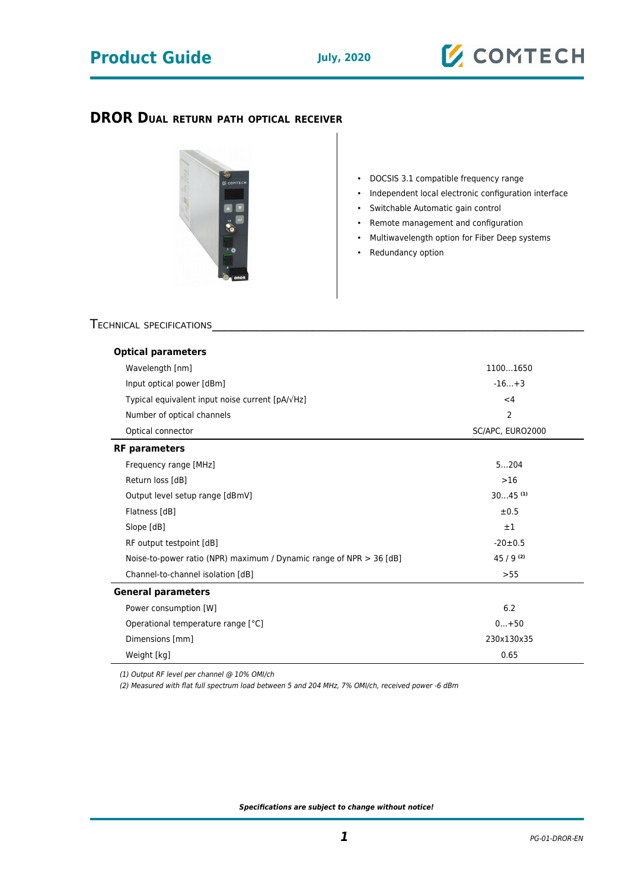## **Product Guide July, 2020**

### **DROR DUAL RETURN PATH OPTICAL RECEIVER**



- DOCSIS 3.1 compatible frequency range
- Independent local electronic configuration interface
- Switchable Automatic gain control
- Remote management and configuration
- Multiwavelength option for Fiber Deep systems
- Redundancy option

#### TECHNICAL SPECIFICATIONS

| <b>Optical parameters</b>                                             |                       |
|-----------------------------------------------------------------------|-----------------------|
| Wavelength [nm]                                                       | 11001650              |
| Input optical power [dBm]                                             | $-16+3$               |
| Typical equivalent input noise current [pA/ $\sqrt{Hz}$ ]             | $<$ 4                 |
| Number of optical channels                                            | $\overline{2}$        |
| Optical connector                                                     | SC/APC, EURO2000      |
| <b>RF</b> parameters                                                  |                       |
| Frequency range [MHz]                                                 | 5204                  |
| Return loss [dB]                                                      | >16                   |
| Output level setup range [dBmV]                                       | $3045$ <sup>(1)</sup> |
| Flatness [dB]                                                         | ±0.5                  |
| Slope [dB]                                                            | $\pm 1$               |
| RF output testpoint [dB]                                              | $-20 \pm 0.5$         |
| Noise-to-power ratio (NPR) maximum / Dynamic range of NPR $>$ 36 [dB] | $45/9^{(2)}$          |
| Channel-to-channel isolation [dB]                                     | >55                   |
| <b>General parameters</b>                                             |                       |
| Power consumption [W]                                                 | 6.2                   |
| Operational temperature range [°C]                                    | $0+50$                |
| Dimensions [mm]                                                       | 230x130x35            |
| Weight [kg]                                                           | 0.65                  |

(1) Output RF level per channel @ 10% OMI/ch

(2) Measured with flat full spectrum load between 5 and 204 MHz, 7% OMI/ch, received power -6 dBm